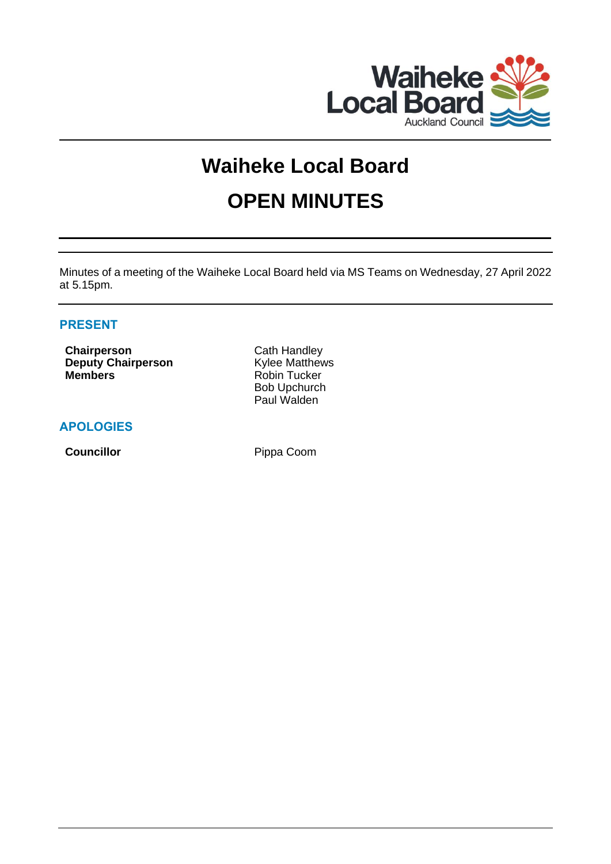

# **Waiheke Local Board OPEN MINUTES**

Minutes of a meeting of the Waiheke Local Board held via MS Teams on Wednesday, 27 April 2022 at 5.15pm.

# **PRESENT**

**Chairperson** Cath Handley **Deputy Chairperson** Kylee Matthews **Members** Robin Tucker

Bob Upchurch Paul Walden

# **APOLOGIES**

**Councillor** Pippa Coom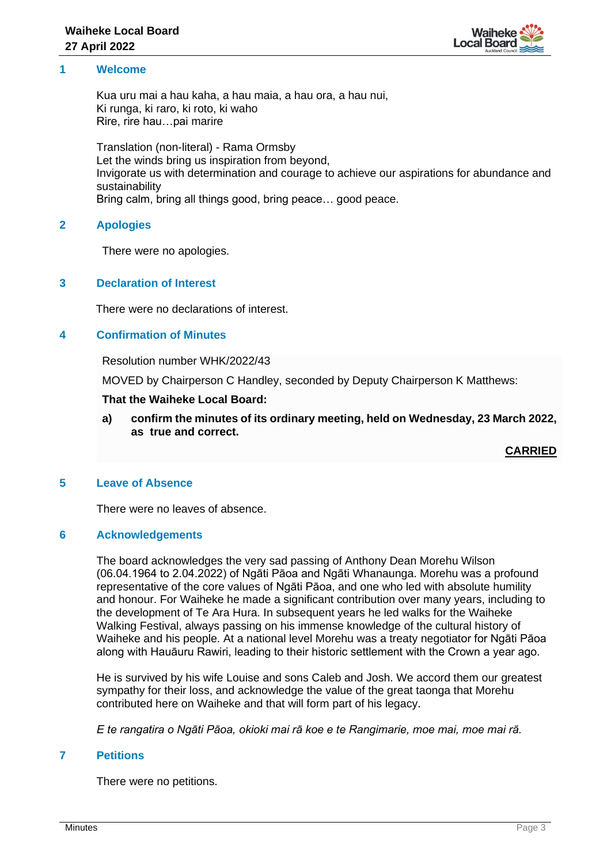

#### **1 Welcome**

Kua uru mai a hau kaha, a hau maia, a hau ora, a hau nui, Ki runga, ki raro, ki roto, ki waho Rire, rire hau…pai marire

Translation (non-literal) - Rama Ormsby Let the winds bring us inspiration from beyond, Invigorate us with determination and courage to achieve our aspirations for abundance and sustainability Bring calm, bring all things good, bring peace… good peace.

## **2 Apologies**

There were no apologies.

## **3 Declaration of Interest**

There were no declarations of interest.

## **4 Confirmation of Minutes**

Resolution number WHK/2022/43

MOVED by Chairperson C Handley, seconded by Deputy Chairperson K Matthews:

#### **That the Waiheke Local Board:**

**a) confirm the minutes of its ordinary meeting, held on Wednesday, 23 March 2022, as true and correct.**

**CARRIED**

## **5 Leave of Absence**

There were no leaves of absence.

## **6 Acknowledgements**

The board acknowledges the very sad passing of Anthony Dean Morehu Wilson (06.04.1964 to 2.04.2022) of Ngāti Pāoa and Ngāti Whanaunga. Morehu was a profound representative of the core values of Ngāti Pāoa, and one who led with absolute humility and honour. For Waiheke he made a significant contribution over many years, including to the development of Te Ara Hura. In subsequent years he led walks for the Waiheke Walking Festival, always passing on his immense knowledge of the cultural history of Waiheke and his people. At a national level Morehu was a treaty negotiator for Ngāti Pāoa along with Hauāuru Rawiri, leading to their historic settlement with the Crown a year ago.

He is survived by his wife Louise and sons Caleb and Josh. We accord them our greatest sympathy for their loss, and acknowledge the value of the great taonga that Morehu contributed here on Waiheke and that will form part of his legacy.

*E te rangatira o Ngāti Pāoa, okioki mai rā koe e te Rangimarie, moe mai, moe mai rā.*

#### **7 Petitions**

There were no petitions.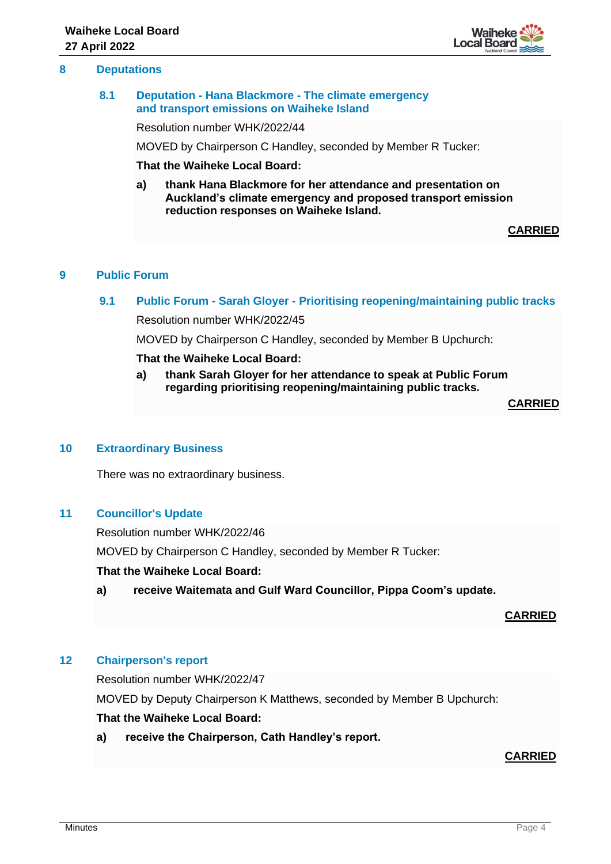#### **8 Deputations**

#### **8.1 Deputation - Hana Blackmore - The climate emergency and transport emissions on Waiheke Island**

Resolution number WHK/2022/44

MOVED by Chairperson C Handley, seconded by Member R Tucker:

**That the Waiheke Local Board:**

**a) thank Hana Blackmore for her attendance and presentation on Auckland's climate emergency and proposed transport emission reduction responses on Waiheke Island.**

**CARRIED**

## **9 Public Forum**

**9.1 Public Forum - Sarah Gloyer - Prioritising reopening/maintaining public tracks**

Resolution number WHK/2022/45

MOVED by Chairperson C Handley, seconded by Member B Upchurch:

**That the Waiheke Local Board:**

**a) thank Sarah Gloyer for her attendance to speak at Public Forum regarding prioritising reopening/maintaining public tracks.**

**CARRIED**

## **10 Extraordinary Business**

There was no extraordinary business.

## **11 Councillor's Update**

Resolution number WHK/2022/46 MOVED by Chairperson C Handley, seconded by Member R Tucker:

#### **That the Waiheke Local Board:**

**a) receive Waitemata and Gulf Ward Councillor, Pippa Coom's update.**

#### **CARRIED**

## **12 Chairperson's report**

Resolution number WHK/2022/47

MOVED by Deputy Chairperson K Matthews, seconded by Member B Upchurch:

# **That the Waiheke Local Board:**

**a) receive the Chairperson, Cath Handley's report.**

#### **CARRIED**

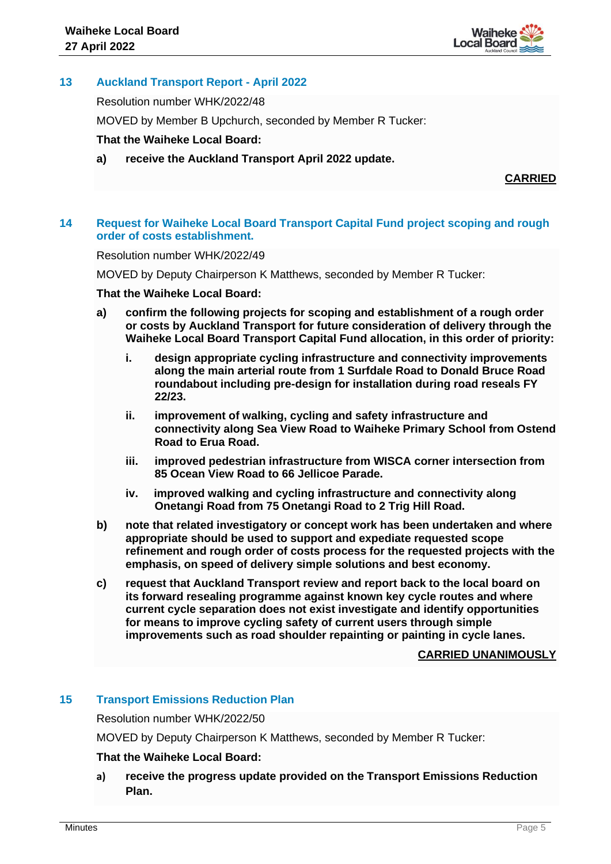

# **13 Auckland Transport Report - April 2022**

Resolution number WHK/2022/48

MOVED by Member B Upchurch, seconded by Member R Tucker:

## **That the Waiheke Local Board:**

**a) receive the Auckland Transport April 2022 update.**

**CARRIED**

## **14 Request for Waiheke Local Board Transport Capital Fund project scoping and rough order of costs establishment.**

Resolution number WHK/2022/49

MOVED by Deputy Chairperson K Matthews, seconded by Member R Tucker:

## **That the Waiheke Local Board:**

- **a) confirm the following projects for scoping and establishment of a rough order or costs by Auckland Transport for future consideration of delivery through the Waiheke Local Board Transport Capital Fund allocation, in this order of priority:**
	- **i. design appropriate cycling infrastructure and connectivity improvements along the main arterial route from 1 Surfdale Road to Donald Bruce Road roundabout including pre-design for installation during road reseals FY 22/23.**
	- **ii. improvement of walking, cycling and safety infrastructure and connectivity along Sea View Road to Waiheke Primary School from Ostend Road to Erua Road.**
	- **iii. improved pedestrian infrastructure from WISCA corner intersection from 85 Ocean View Road to 66 Jellicoe Parade.**
	- **iv. improved walking and cycling infrastructure and connectivity along Onetangi Road from 75 Onetangi Road to 2 Trig Hill Road.**
- **b) note that related investigatory or concept work has been undertaken and where appropriate should be used to support and expediate requested scope refinement and rough order of costs process for the requested projects with the emphasis, on speed of delivery simple solutions and best economy.**
- **c) request that Auckland Transport review and report back to the local board on its forward resealing programme against known key cycle routes and where current cycle separation does not exist investigate and identify opportunities for means to improve cycling safety of current users through simple improvements such as road shoulder repainting or painting in cycle lanes.**

## **CARRIED UNANIMOUSLY**

## **15 Transport Emissions Reduction Plan**

Resolution number WHK/2022/50

MOVED by Deputy Chairperson K Matthews, seconded by Member R Tucker:

## **That the Waiheke Local Board:**

**a) receive the progress update provided on the Transport Emissions Reduction Plan.**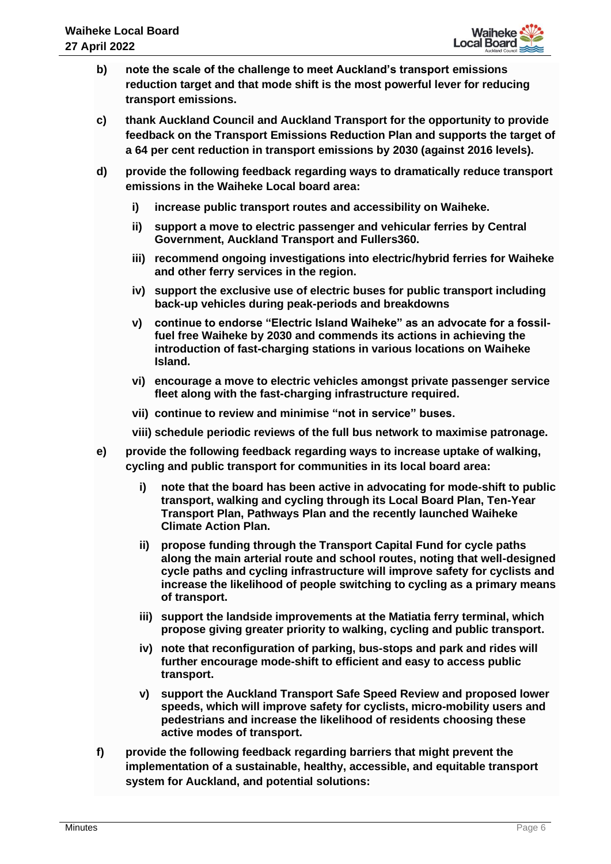

- **b) note the scale of the challenge to meet Auckland's transport emissions reduction target and that mode shift is the most powerful lever for reducing transport emissions.**
- **c) thank Auckland Council and Auckland Transport for the opportunity to provide feedback on the Transport Emissions Reduction Plan and supports the target of a 64 per cent reduction in transport emissions by 2030 (against 2016 levels).**
- **d) provide the following feedback regarding ways to dramatically reduce transport emissions in the Waiheke Local board area:**
	- **i) increase public transport routes and accessibility on Waiheke.**
	- **ii) support a move to electric passenger and vehicular ferries by Central Government, Auckland Transport and Fullers360.**
	- **iii) recommend ongoing investigations into electric/hybrid ferries for Waiheke and other ferry services in the region.**
	- **iv) support the exclusive use of electric buses for public transport including back-up vehicles during peak-periods and breakdowns**
	- **v) continue to endorse "Electric Island Waiheke" as an advocate for a fossilfuel free Waiheke by 2030 and commends its actions in achieving the introduction of fast-charging stations in various locations on Waiheke Island.**
	- **vi) encourage a move to electric vehicles amongst private passenger service fleet along with the fast-charging infrastructure required.**
	- **vii) continue to review and minimise "not in service" buses.**
	- **viii) schedule periodic reviews of the full bus network to maximise patronage.**
- **e) provide the following feedback regarding ways to increase uptake of walking, cycling and public transport for communities in its local board area:**
	- **i) note that the board has been active in advocating for mode-shift to public transport, walking and cycling through its Local Board Plan, Ten-Year Transport Plan, Pathways Plan and the recently launched Waiheke Climate Action Plan.**
	- **ii) propose funding through the Transport Capital Fund for cycle paths along the main arterial route and school routes, noting that well-designed cycle paths and cycling infrastructure will improve safety for cyclists and increase the likelihood of people switching to cycling as a primary means of transport.**
	- **iii) support the landside improvements at the Matiatia ferry terminal, which propose giving greater priority to walking, cycling and public transport.**
	- **iv) note that reconfiguration of parking, bus-stops and park and rides will further encourage mode-shift to efficient and easy to access public transport.**
	- **v) support the Auckland Transport Safe Speed Review and proposed lower speeds, which will improve safety for cyclists, micro-mobility users and pedestrians and increase the likelihood of residents choosing these active modes of transport.**
- **f) provide the following feedback regarding barriers that might prevent the implementation of a sustainable, healthy, accessible, and equitable transport system for Auckland, and potential solutions:**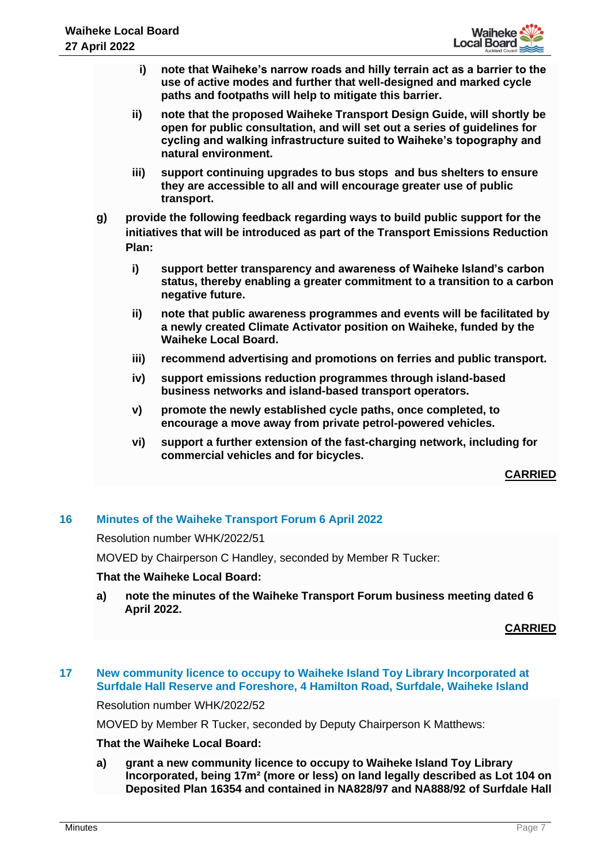- **i) note that Waiheke's narrow roads and hilly terrain act as a barrier to the use of active modes and further that well-designed and marked cycle paths and footpaths will help to mitigate this barrier.**
- **ii) note that the proposed Waiheke Transport Design Guide, will shortly be open for public consultation, and will set out a series of guidelines for cycling and walking infrastructure suited to Waiheke's topography and natural environment.**
- **iii) support continuing upgrades to bus stops and bus shelters to ensure they are accessible to all and will encourage greater use of public transport.**
- **g) provide the following feedback regarding ways to build public support for the initiatives that will be introduced as part of the Transport Emissions Reduction Plan:** 
	- **i) support better transparency and awareness of Waiheke Island's carbon status, thereby enabling a greater commitment to a transition to a carbon negative future.**
	- **ii) note that public awareness programmes and events will be facilitated by a newly created Climate Activator position on Waiheke, funded by the Waiheke Local Board.**
	- **iii) recommend advertising and promotions on ferries and public transport.**
	- **iv) support emissions reduction programmes through island-based business networks and island-based transport operators.**
	- **v) promote the newly established cycle paths, once completed, to encourage a move away from private petrol-powered vehicles.**
	- **vi) support a further extension of the fast-charging network, including for commercial vehicles and for bicycles.**

## **CARRIED**

## **16 Minutes of the Waiheke Transport Forum 6 April 2022**

Resolution number WHK/2022/51

MOVED by Chairperson C Handley, seconded by Member R Tucker:

## **That the Waiheke Local Board:**

**a) note the minutes of the Waiheke Transport Forum business meeting dated 6 April 2022.**

#### **CARRIED**

## **17 New community licence to occupy to Waiheke Island Toy Library Incorporated at Surfdale Hall Reserve and Foreshore, 4 Hamilton Road, Surfdale, Waiheke Island**

Resolution number WHK/2022/52

MOVED by Member R Tucker, seconded by Deputy Chairperson K Matthews:

## **That the Waiheke Local Board:**

**a) grant a new community licence to occupy to Waiheke Island Toy Library Incorporated, being 17m² (more or less) on land legally described as Lot 104 on Deposited Plan 16354 and contained in NA828/97 and NA888/92 of Surfdale Hall**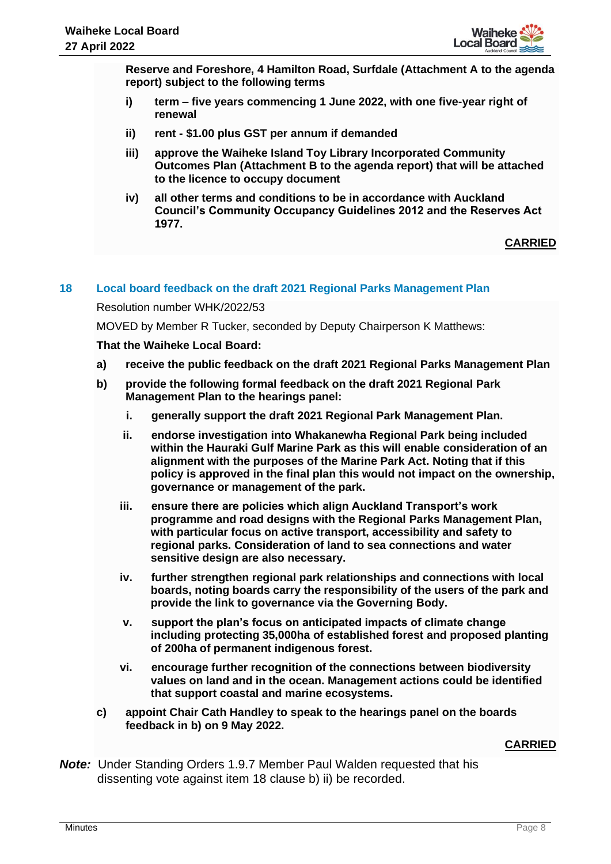

**Reserve and Foreshore, 4 Hamilton Road, Surfdale (Attachment A to the agenda report) subject to the following terms**

- **i) term – five years commencing 1 June 2022, with one five-year right of renewal**
- **ii) rent - \$1.00 plus GST per annum if demanded**
- **iii) approve the Waiheke Island Toy Library Incorporated Community Outcomes Plan (Attachment B to the agenda report) that will be attached to the licence to occupy document**
- **iv) all other terms and conditions to be in accordance with Auckland Council's Community Occupancy Guidelines 2012 and the Reserves Act 1977.**

# **CARRIED**

## **18 Local board feedback on the draft 2021 Regional Parks Management Plan**

Resolution number WHK/2022/53

MOVED by Member R Tucker, seconded by Deputy Chairperson K Matthews:

## **That the Waiheke Local Board:**

- **a) receive the public feedback on the draft 2021 Regional Parks Management Plan**
- **b) provide the following formal feedback on the draft 2021 Regional Park Management Plan to the hearings panel:**
	- **i. generally support the draft 2021 Regional Park Management Plan.**
	- **ii. endorse investigation into Whakanewha Regional Park being included within the Hauraki Gulf Marine Park as this will enable consideration of an alignment with the purposes of the Marine Park Act. Noting that if this policy is approved in the final plan this would not impact on the ownership, governance or management of the park.**
	- **iii. ensure there are policies which align Auckland Transport's work programme and road designs with the Regional Parks Management Plan, with particular focus on active transport, accessibility and safety to regional parks. Consideration of land to sea connections and water sensitive design are also necessary.**
	- **iv. further strengthen regional park relationships and connections with local boards, noting boards carry the responsibility of the users of the park and provide the link to governance via the Governing Body.**
	- **v. support the plan's focus on anticipated impacts of climate change including protecting 35,000ha of established forest and proposed planting of 200ha of permanent indigenous forest.**
	- **vi. encourage further recognition of the connections between biodiversity values on land and in the ocean. Management actions could be identified that support coastal and marine ecosystems.**
- **c) appoint Chair Cath Handley to speak to the hearings panel on the boards feedback in b) on 9 May 2022.**

## **CARRIED**

*Note:* Under Standing Orders 1.9.7 Member Paul Walden requested that his dissenting vote against item 18 clause b) ii) be recorded.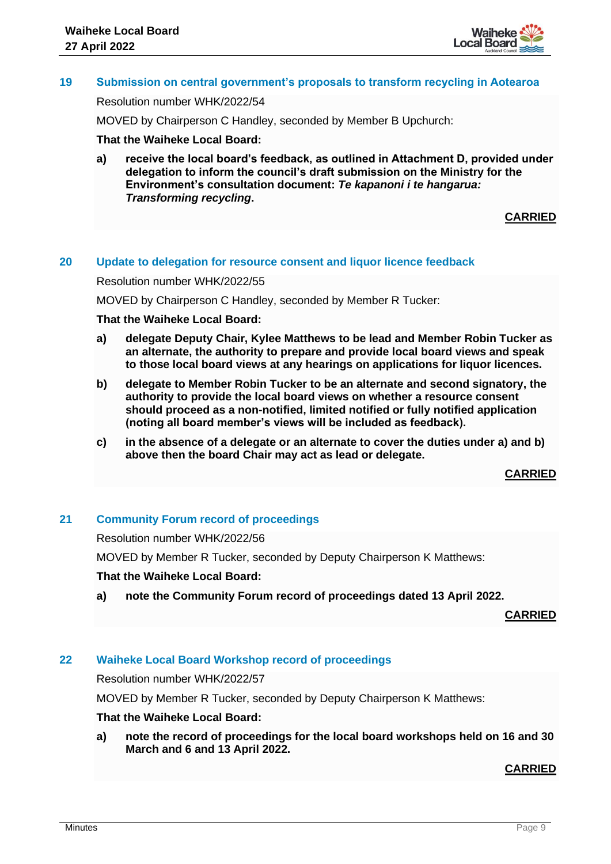

# **19 Submission on central government's proposals to transform recycling in Aotearoa**

#### Resolution number WHK/2022/54

MOVED by Chairperson C Handley, seconded by Member B Upchurch:

#### **That the Waiheke Local Board:**

**a) receive the local board's feedback, as outlined in Attachment D, provided under delegation to inform the council's draft submission on the Ministry for the Environment's consultation document:** *Te kapanoni i te hangarua: Transforming recycling***.**

**CARRIED**

#### **20 Update to delegation for resource consent and liquor licence feedback**

Resolution number WHK/2022/55

MOVED by Chairperson C Handley, seconded by Member R Tucker:

#### **That the Waiheke Local Board:**

- **a) delegate Deputy Chair, Kylee Matthews to be lead and Member Robin Tucker as an alternate, the authority to prepare and provide local board views and speak to those local board views at any hearings on applications for liquor licences.**
- **b) delegate to Member Robin Tucker to be an alternate and second signatory, the authority to provide the local board views on whether a resource consent should proceed as a non-notified, limited notified or fully notified application (noting all board member's views will be included as feedback).**
- **c) in the absence of a delegate or an alternate to cover the duties under a) and b) above then the board Chair may act as lead or delegate.**

**CARRIED**

#### **21 Community Forum record of proceedings**

Resolution number WHK/2022/56

MOVED by Member R Tucker, seconded by Deputy Chairperson K Matthews:

### **That the Waiheke Local Board:**

**a) note the Community Forum record of proceedings dated 13 April 2022.**

**CARRIED**

## **22 Waiheke Local Board Workshop record of proceedings**

Resolution number WHK/2022/57

MOVED by Member R Tucker, seconded by Deputy Chairperson K Matthews:

## **That the Waiheke Local Board:**

**a) note the record of proceedings for the local board workshops held on 16 and 30 March and 6 and 13 April 2022.** 

**CARRIED**